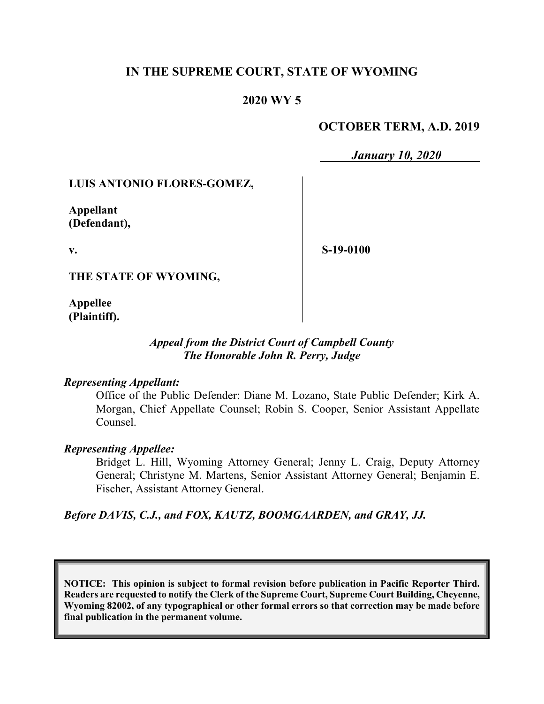## **IN THE SUPREME COURT, STATE OF WYOMING**

## **2020 WY 5**

## **OCTOBER TERM, A.D. 2019**

*January 10, 2020*

## **LUIS ANTONIO FLORES-GOMEZ,**

**Appellant (Defendant),**

**v.**

**S-19-0100**

**THE STATE OF WYOMING,**

**Appellee (Plaintiff).**

## *Appeal from the District Court of Campbell County The Honorable John R. Perry, Judge*

#### *Representing Appellant:*

Office of the Public Defender: Diane M. Lozano, State Public Defender; Kirk A. Morgan, Chief Appellate Counsel; Robin S. Cooper, Senior Assistant Appellate Counsel.

#### *Representing Appellee:*

Bridget L. Hill, Wyoming Attorney General; Jenny L. Craig, Deputy Attorney General; Christyne M. Martens, Senior Assistant Attorney General; Benjamin E. Fischer, Assistant Attorney General.

## *Before DAVIS, C.J., and FOX, KAUTZ, BOOMGAARDEN, and GRAY, JJ.*

**NOTICE: This opinion is subject to formal revision before publication in Pacific Reporter Third. Readers are requested to notify the Clerk of the Supreme Court, Supreme Court Building, Cheyenne, Wyoming 82002, of any typographical or other formal errors so that correction may be made before final publication in the permanent volume.**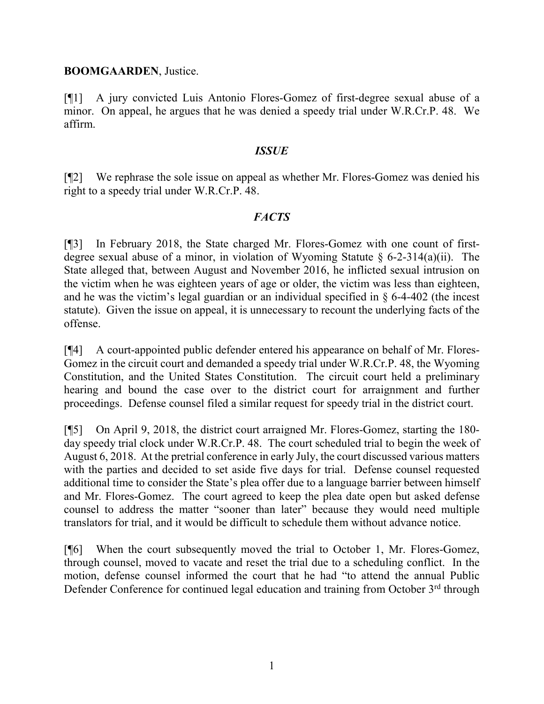#### **BOOMGAARDEN**, Justice.

[¶1] A jury convicted Luis Antonio Flores-Gomez of first-degree sexual abuse of a minor. On appeal, he argues that he was denied a speedy trial under W.R.Cr.P. 48. We affirm.

#### *ISSUE*

[¶2] We rephrase the sole issue on appeal as whether Mr. Flores-Gomez was denied his right to a speedy trial under W.R.Cr.P. 48.

## *FACTS*

[¶3] In February 2018, the State charged Mr. Flores-Gomez with one count of firstdegree sexual abuse of a minor, in violation of Wyoming Statute  $\S$  6-2-314(a)(ii). The State alleged that, between August and November 2016, he inflicted sexual intrusion on the victim when he was eighteen years of age or older, the victim was less than eighteen, and he was the victim's legal guardian or an individual specified in § 6-4-402 (the incest statute). Given the issue on appeal, it is unnecessary to recount the underlying facts of the offense.

[¶4] A court-appointed public defender entered his appearance on behalf of Mr. Flores-Gomez in the circuit court and demanded a speedy trial under W.R.Cr.P. 48, the Wyoming Constitution, and the United States Constitution. The circuit court held a preliminary hearing and bound the case over to the district court for arraignment and further proceedings. Defense counsel filed a similar request for speedy trial in the district court.

[¶5] On April 9, 2018, the district court arraigned Mr. Flores-Gomez, starting the 180 day speedy trial clock under W.R.Cr.P. 48. The court scheduled trial to begin the week of August 6, 2018. At the pretrial conference in early July, the court discussed various matters with the parties and decided to set aside five days for trial. Defense counsel requested additional time to consider the State's plea offer due to a language barrier between himself and Mr. Flores-Gomez. The court agreed to keep the plea date open but asked defense counsel to address the matter "sooner than later" because they would need multiple translators for trial, and it would be difficult to schedule them without advance notice.

[¶6] When the court subsequently moved the trial to October 1, Mr. Flores-Gomez, through counsel, moved to vacate and reset the trial due to a scheduling conflict. In the motion, defense counsel informed the court that he had "to attend the annual Public Defender Conference for continued legal education and training from October  $3<sup>rd</sup>$  through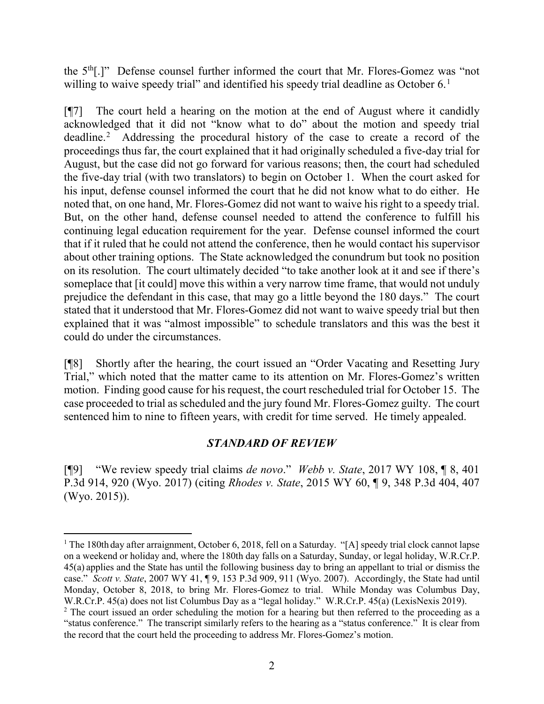the 5<sup>th</sup>[.]" Defense counsel further informed the court that Mr. Flores-Gomez was "not willing to waive speedy trial" and identified his speedy trial deadline as October 6. $^1$  $^1$ 

[¶7] The court held a hearing on the motion at the end of August where it candidly acknowledged that it did not "know what to do" about the motion and speedy trial deadline. [2](#page-2-1) Addressing the procedural history of the case to create a record of the proceedings thus far, the court explained that it had originally scheduled a five-day trial for August, but the case did not go forward for various reasons; then, the court had scheduled the five-day trial (with two translators) to begin on October 1. When the court asked for his input, defense counsel informed the court that he did not know what to do either. He noted that, on one hand, Mr. Flores-Gomez did not want to waive his right to a speedy trial. But, on the other hand, defense counsel needed to attend the conference to fulfill his continuing legal education requirement for the year. Defense counsel informed the court that if it ruled that he could not attend the conference, then he would contact his supervisor about other training options. The State acknowledged the conundrum but took no position on its resolution. The court ultimately decided "to take another look at it and see if there's someplace that [it could] move this within a very narrow time frame, that would not unduly prejudice the defendant in this case, that may go a little beyond the 180 days." The court stated that it understood that Mr. Flores-Gomez did not want to waive speedy trial but then explained that it was "almost impossible" to schedule translators and this was the best it could do under the circumstances.

[¶8] Shortly after the hearing, the court issued an "Order Vacating and Resetting Jury Trial," which noted that the matter came to its attention on Mr. Flores-Gomez's written motion. Finding good cause for his request, the court rescheduled trial for October 15. The case proceeded to trial as scheduled and the jury found Mr. Flores-Gomez guilty. The court sentenced him to nine to fifteen years, with credit for time served. He timely appealed.

#### *STANDARD OF REVIEW*

[¶9] "We review speedy trial claims *de novo*." *Webb v. State*, 2017 WY 108, ¶ 8, 401 P.3d 914, 920 (Wyo. 2017) (citing *Rhodes v. State*, 2015 WY 60, ¶ 9, 348 P.3d 404, 407 (Wyo. 2015)).

<span id="page-2-0"></span><sup>&</sup>lt;sup>1</sup> The 180th day after arraignment, October 6, 2018, fell on a Saturday. "[A] speedy trial clock cannot lapse on a weekend or holiday and, where the 180th day falls on a Saturday, Sunday, or legal holiday, W.R.Cr.P. 45(a) applies and the State has until the following business day to bring an appellant to trial or dismiss the case." *Scott v. State*, 2007 WY 41, ¶ 9, 153 P.3d 909, 911 (Wyo. 2007). Accordingly, the State had until Monday, October 8, 2018, to bring Mr. Flores-Gomez to trial. While Monday was Columbus Day, W.R.Cr.P. 45(a) does not list Columbus Day as a "legal holiday." W.R.Cr.P. 45(a) (LexisNexis 2019).

<span id="page-2-1"></span><sup>&</sup>lt;sup>2</sup> The court issued an order scheduling the motion for a hearing but then referred to the proceeding as a "status conference." The transcript similarly refers to the hearing as a "status conference." It is clear from the record that the court held the proceeding to address Mr. Flores-Gomez's motion.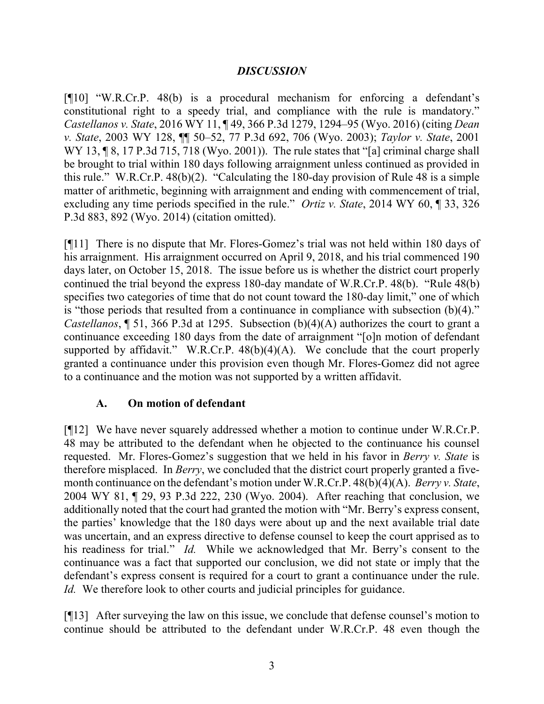## *DISCUSSION*

[¶10] "W.R.Cr.P. 48(b) is a procedural mechanism for enforcing a defendant's constitutional right to a speedy trial, and compliance with the rule is mandatory." *Castellanos v. State*, 2016 WY 11, ¶ 49, 366 P.3d 1279, 1294–95 (Wyo. 2016) (citing *Dean v. State*, 2003 WY 128, ¶¶ 50–52, 77 P.3d 692, 706 (Wyo. 2003); *Taylor v. State*, 2001 WY 13,  $\sqrt{8}$ , 17 P.3d 715, 718 (Wyo. 2001)). The rule states that "[a] criminal charge shall be brought to trial within 180 days following arraignment unless continued as provided in this rule." W.R.Cr.P. 48(b)(2). "Calculating the 180-day provision of Rule 48 is a simple matter of arithmetic, beginning with arraignment and ending with commencement of trial, excluding any time periods specified in the rule." *Ortiz v. State*, 2014 WY 60, ¶ 33, 326 P.3d 883, 892 (Wyo. 2014) (citation omitted).

[¶11] There is no dispute that Mr. Flores-Gomez's trial was not held within 180 days of his arraignment. His arraignment occurred on April 9, 2018, and his trial commenced 190 days later, on October 15, 2018. The issue before us is whether the district court properly continued the trial beyond the express 180-day mandate of W.R.Cr.P. 48(b). "Rule 48(b) specifies two categories of time that do not count toward the 180-day limit," one of which is "those periods that resulted from a continuance in compliance with subsection (b)(4)." *Castellanos*, ¶ 51, 366 P.3d at 1295. Subsection (b)(4)(A) authorizes the court to grant a continuance exceeding 180 days from the date of arraignment "[o]n motion of defendant supported by affidavit." W.R.Cr.P.  $48(b)(4)(A)$ . We conclude that the court properly granted a continuance under this provision even though Mr. Flores-Gomez did not agree to a continuance and the motion was not supported by a written affidavit.

## **A. On motion of defendant**

[¶12] We have never squarely addressed whether a motion to continue under W.R.Cr.P. 48 may be attributed to the defendant when he objected to the continuance his counsel requested. Mr. Flores-Gomez's suggestion that we held in his favor in *Berry v. State* is therefore misplaced. In *Berry*, we concluded that the district court properly granted a fivemonth continuance on the defendant's motion under W.R.Cr.P. 48(b)(4)(A). *Berry v. State*, 2004 WY 81, ¶ 29, 93 P.3d 222, 230 (Wyo. 2004). After reaching that conclusion, we additionally noted that the court had granted the motion with "Mr. Berry's express consent, the parties' knowledge that the 180 days were about up and the next available trial date was uncertain, and an express directive to defense counsel to keep the court apprised as to his readiness for trial." *Id.* While we acknowledged that Mr. Berry's consent to the continuance was a fact that supported our conclusion, we did not state or imply that the defendant's express consent is required for a court to grant a continuance under the rule. *Id.* We therefore look to other courts and judicial principles for guidance.

[¶13] After surveying the law on this issue, we conclude that defense counsel's motion to continue should be attributed to the defendant under W.R.Cr.P. 48 even though the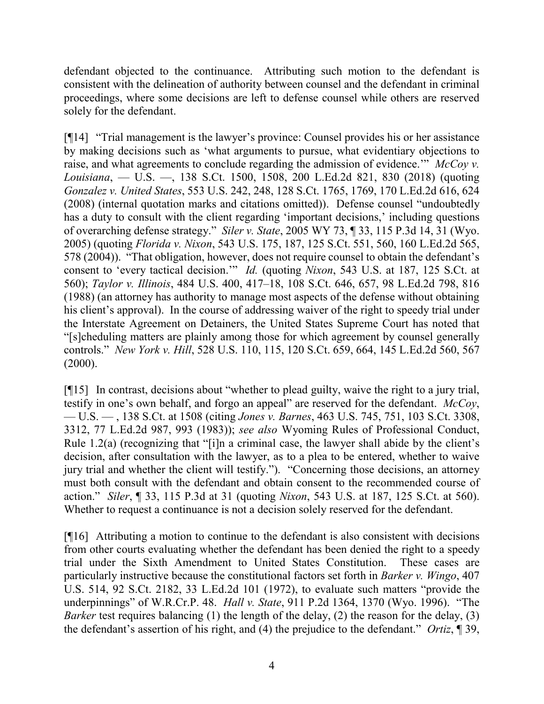defendant objected to the continuance. Attributing such motion to the defendant is consistent with the delineation of authority between counsel and the defendant in criminal proceedings, where some decisions are left to defense counsel while others are reserved solely for the defendant.

[¶14] "Trial management is the lawyer's province: Counsel provides his or her assistance by making decisions such as 'what arguments to pursue, what evidentiary objections to raise, and what agreements to conclude regarding the admission of evidence.'" *McCoy v. Louisiana*, — U.S. —, 138 S.Ct. 1500, 1508, 200 L.Ed.2d 821, 830 (2018) (quoting *Gonzalez v. United States*, 553 U.S. 242, 248, 128 S.Ct. 1765, 1769, 170 L.Ed.2d 616, 624 (2008) (internal quotation marks and citations omitted)). Defense counsel "undoubtedly has a duty to consult with the client regarding 'important decisions,' including questions of overarching defense strategy." *Siler v. State*, 2005 WY 73, ¶ 33, 115 P.3d 14, 31 (Wyo. 2005) (quoting *Florida v. Nixon*, 543 U.S. 175, 187, 125 S.Ct. 551, 560, 160 L.Ed.2d 565, 578 (2004)). "That obligation, however, does not require counsel to obtain the defendant's consent to 'every tactical decision.'" *Id.* (quoting *Nixon*, 543 U.S. at 187, 125 S.Ct. at 560); *Taylor v. Illinois*, 484 U.S. 400, 417–18, 108 S.Ct. 646, 657, 98 L.Ed.2d 798, 816 (1988) (an attorney has authority to manage most aspects of the defense without obtaining his client's approval). In the course of addressing waiver of the right to speedy trial under the Interstate Agreement on Detainers, the United States Supreme Court has noted that "[s]cheduling matters are plainly among those for which agreement by counsel generally controls." *New York v. Hill*, 528 U.S. 110, 115, 120 S.Ct. 659, 664, 145 L.Ed.2d 560, 567  $(2000).$ 

[¶15] In contrast, decisions about "whether to plead guilty, waive the right to a jury trial, testify in one's own behalf, and forgo an appeal" are reserved for the defendant. *McCoy*, — U.S. — , 138 S.Ct. at 1508 (citing *Jones v. Barnes*, 463 U.S. 745, 751, 103 S.Ct. 3308, 3312, 77 L.Ed.2d 987, 993 (1983)); *see also* Wyoming Rules of Professional Conduct, Rule 1.2(a) (recognizing that "[i]n a criminal case, the lawyer shall abide by the client's decision, after consultation with the lawyer, as to a plea to be entered, whether to waive jury trial and whether the client will testify."). "Concerning those decisions, an attorney must both consult with the defendant and obtain consent to the recommended course of action." *Siler*, ¶ 33, 115 P.3d at 31 (quoting *Nixon*, 543 U.S. at 187, 125 S.Ct. at 560). Whether to request a continuance is not a decision solely reserved for the defendant.

[¶16] Attributing a motion to continue to the defendant is also consistent with decisions from other courts evaluating whether the defendant has been denied the right to a speedy trial under the Sixth Amendment to United States Constitution. These cases are particularly instructive because the constitutional factors set forth in *Barker v. Wingo*, 407 U.S. 514, 92 S.Ct. 2182, 33 L.Ed.2d 101 (1972), to evaluate such matters "provide the underpinnings" of W.R.Cr.P. 48. *Hall v. State*, 911 P.2d 1364, 1370 (Wyo. 1996). "The *Barker* test requires balancing (1) the length of the delay, (2) the reason for the delay, (3) the defendant's assertion of his right, and (4) the prejudice to the defendant." *Ortiz*, ¶ 39,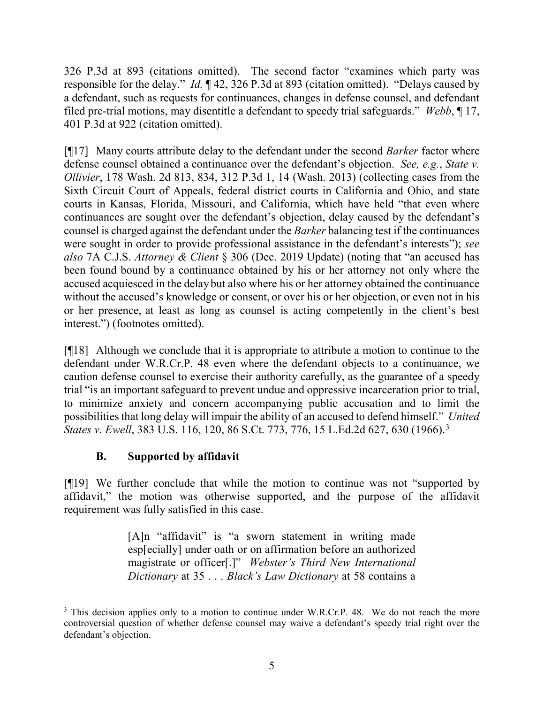326 P.3d at 893 (citations omitted). The second factor "examines which party was responsible for the delay." *Id.* ¶ 42, 326 P.3d at 893 (citation omitted). "Delays caused by a defendant, such as requests for continuances, changes in defense counsel, and defendant filed pre-trial motions, may disentitle a defendant to speedy trial safeguards." *Webb*, ¶ 17, 401 P.3d at 922 (citation omitted).

[¶17] Many courts attribute delay to the defendant under the second *Barker* factor where defense counsel obtained a continuance over the defendant's objection. *See, e.g.*, *State v. Ollivier*, 178 Wash. 2d 813, 834, 312 P.3d 1, 14 (Wash. 2013) (collecting cases from the Sixth Circuit Court of Appeals, federal district courts in California and Ohio, and state courts in Kansas, Florida, Missouri, and California, which have held "that even where continuances are sought over the defendant's objection, delay caused by the defendant's counsel is charged against the defendant under the *Barker* balancing test if the continuances were sought in order to provide professional assistance in the defendant's interests"); *see also* 7A C.J.S. *Attorney & Client* § 306 (Dec. 2019 Update) (noting that "an accused has been found bound by a continuance obtained by his or her attorney not only where the accused acquiesced in the delaybut also where his or her attorney obtained the continuance without the accused's knowledge or consent, or over his or her objection, or even not in his or her presence, at least as long as counsel is acting competently in the client's best interest.") (footnotes omitted).

[¶18] Although we conclude that it is appropriate to attribute a motion to continue to the defendant under W.R.Cr.P. 48 even where the defendant objects to a continuance, we caution defense counsel to exercise their authority carefully, as the guarantee of a speedy trial "is an important safeguard to prevent undue and oppressive incarceration prior to trial, to minimize anxiety and concern accompanying public accusation and to limit the possibilities that long delay will impair the ability of an accused to defend himself." *United States v. Ewell*, [3](#page-5-0)83 U.S. 116, 120, 86 S.Ct. 773, 776, 15 L.Ed.2d 627, 630 (1966).<sup>3</sup>

# **B. Supported by affidavit**

[¶19] We further conclude that while the motion to continue was not "supported by affidavit," the motion was otherwise supported, and the purpose of the affidavit requirement was fully satisfied in this case.

> [A]n "affidavit" is "a sworn statement in writing made esp[ecially] under oath or on affirmation before an authorized magistrate or officer[.]" *Webster's Third New International Dictionary* at 35 . . . *Black's Law Dictionary* at 58 contains a

<span id="page-5-0"></span><sup>&</sup>lt;sup>3</sup> This decision applies only to a motion to continue under W.R.Cr.P. 48. We do not reach the more controversial question of whether defense counsel may waive a defendant's speedy trial right over the defendant's objection.